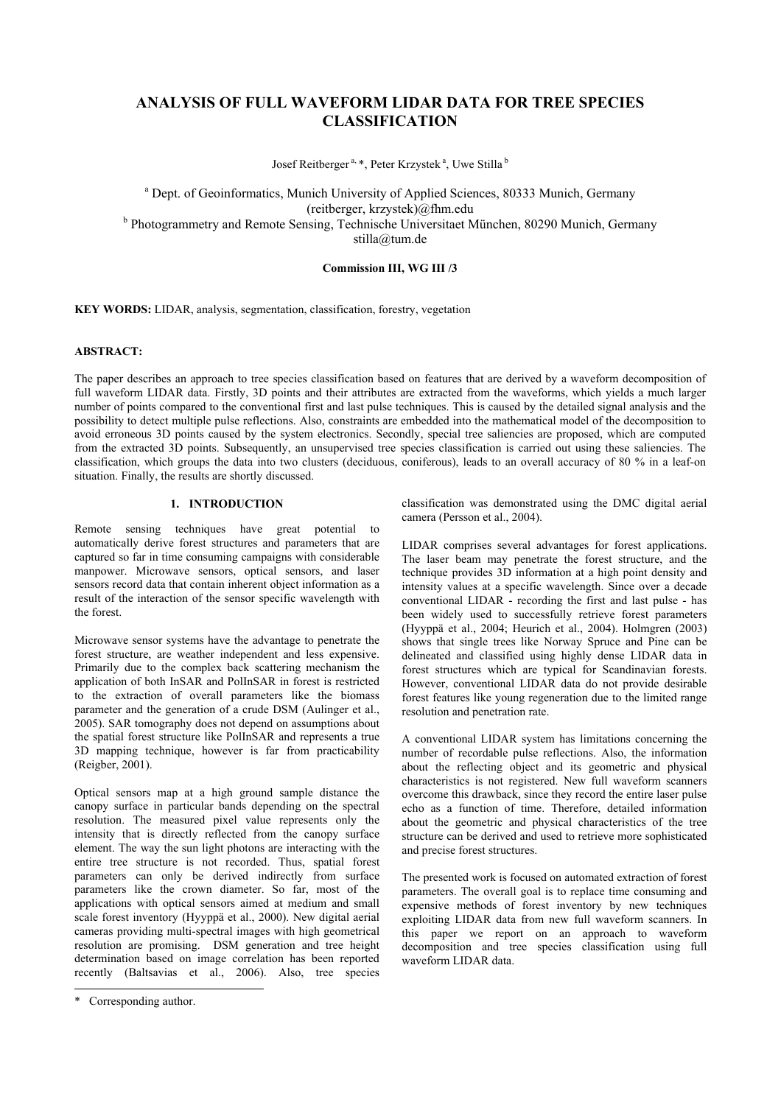# **ANALYSIS OF FULL WAVEFORM LIDAR DATA FOR TREE SPECIES CLASSIFICATION**

Josef Reitberger<sup>a, \*</sup>, Peter Krzystek<sup>a</sup>, Uwe Stilla<sup>b</sup>

<sup>a</sup> Dept. of Geoinformatics, Munich University of Applied Sciences, 80333 Munich, Germany (reitberger, krzystek)@fhm.edu <sup>b</sup> Photogrammetry and Remote Sensing, Technische Universitaet München, 80290 Munich, Germany stilla@tum.de

#### **Commission III, WG III /3**

**KEY WORDS:** LIDAR, analysis, segmentation, classification, forestry, vegetation

# **ABSTRACT:**

The paper describes an approach to tree species classification based on features that are derived by a waveform decomposition of full waveform LIDAR data. Firstly, 3D points and their attributes are extracted from the waveforms, which yields a much larger number of points compared to the conventional first and last pulse techniques. This is caused by the detailed signal analysis and the possibility to detect multiple pulse reflections. Also, constraints are embedded into the mathematical model of the decomposition to avoid erroneous 3D points caused by the system electronics. Secondly, special tree saliencies are proposed, which are computed from the extracted 3D points. Subsequently, an unsupervised tree species classification is carried out using these saliencies. The classification, which groups the data into two clusters (deciduous, coniferous), leads to an overall accuracy of 80 % in a leaf-on situation. Finally, the results are shortly discussed.

# **1. INTRODUCTION**

Remote sensing techniques have great potential to automatically derive forest structures and parameters that are captured so far in time consuming campaigns with considerable manpower. Microwave sensors, optical sensors, and laser sensors record data that contain inherent object information as a result of the interaction of the sensor specific wavelength with the forest.

Microwave sensor systems have the advantage to penetrate the forest structure, are weather independent and less expensive. Primarily due to the complex back scattering mechanism the application of both InSAR and PolInSAR in forest is restricted to the extraction of overall parameters like the biomass parameter and the generation of a crude DSM (Aulinger et al., 2005). SAR tomography does not depend on assumptions about the spatial forest structure like PolInSAR and represents a true 3D mapping technique, however is far from practicability (Reigber, 2001).

Optical sensors map at a high ground sample distance the canopy surface in particular bands depending on the spectral resolution. The measured pixel value represents only the intensity that is directly reflected from the canopy surface element. The way the sun light photons are interacting with the entire tree structure is not recorded. Thus, spatial forest parameters can only be derived indirectly from surface parameters like the crown diameter. So far, most of the applications with optical sensors aimed at medium and small scale forest inventory (Hyyppä et al., 2000). New digital aerial cameras providing multi-spectral images with high geometrical resolution are promising. DSM generation and tree height determination based on image correlation has been reported recently (Baltsavias et al., 2006). Also, tree species

l

classification was demonstrated using the DMC digital aerial camera (Persson et al., 2004).

LIDAR comprises several advantages for forest applications. The laser beam may penetrate the forest structure, and the technique provides 3D information at a high point density and intensity values at a specific wavelength. Since over a decade conventional LIDAR - recording the first and last pulse - has been widely used to successfully retrieve forest parameters (Hyyppä et al., 2004; Heurich et al., 2004). Holmgren (2003) shows that single trees like Norway Spruce and Pine can be delineated and classified using highly dense LIDAR data in forest structures which are typical for Scandinavian forests. However, conventional LIDAR data do not provide desirable forest features like young regeneration due to the limited range resolution and penetration rate.

A conventional LIDAR system has limitations concerning the number of recordable pulse reflections. Also, the information about the reflecting object and its geometric and physical characteristics is not registered. New full waveform scanners overcome this drawback, since they record the entire laser pulse echo as a function of time. Therefore, detailed information about the geometric and physical characteristics of the tree structure can be derived and used to retrieve more sophisticated and precise forest structures.

The presented work is focused on automated extraction of forest parameters. The overall goal is to replace time consuming and expensive methods of forest inventory by new techniques exploiting LIDAR data from new full waveform scanners. In this paper we report on an approach to waveform decomposition and tree species classification using full waveform LIDAR data.

<sup>\*</sup> Corresponding author.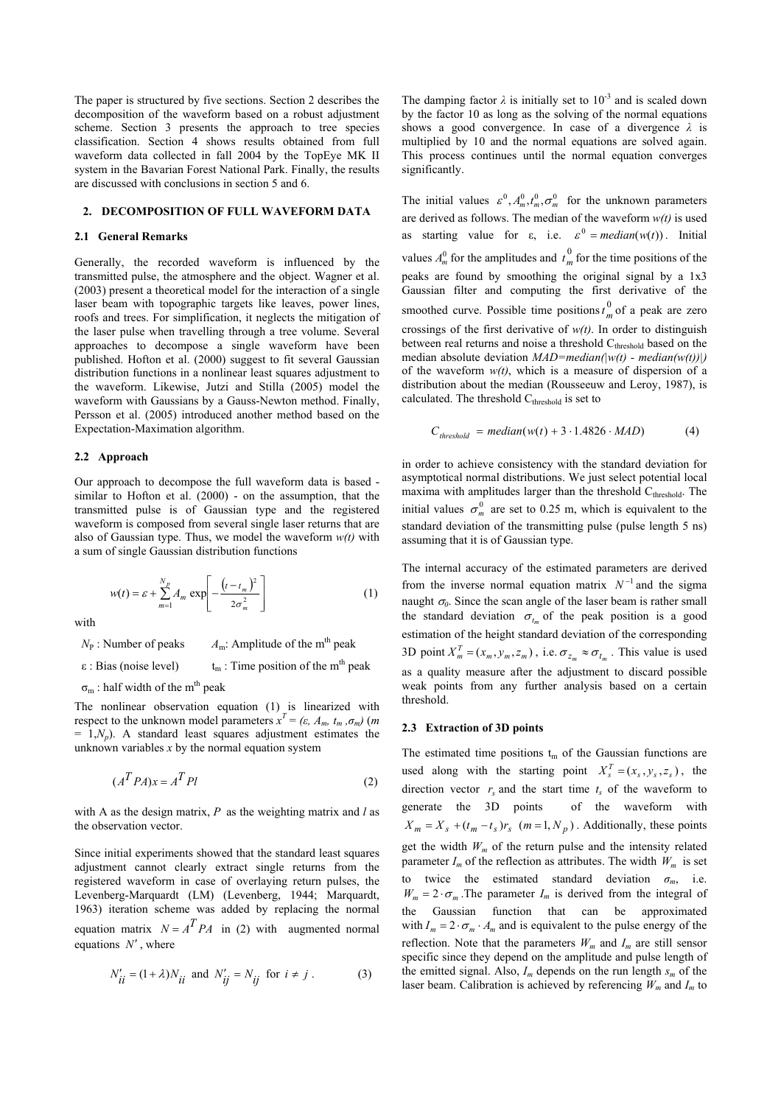The paper is structured by five sections. Section 2 describes the decomposition of the waveform based on a robust adjustment scheme. Section 3 presents the approach to tree species classification. Section 4 shows results obtained from full waveform data collected in fall 2004 by the TopEye MK II system in the Bavarian Forest National Park. Finally, the results are discussed with conclusions in section 5 and 6.

# **2. DECOMPOSITION OF FULL WAVEFORM DATA**

#### **2.1 General Remarks**

Generally, the recorded waveform is influenced by the transmitted pulse, the atmosphere and the object. Wagner et al. (2003) present a theoretical model for the interaction of a single laser beam with topographic targets like leaves, power lines, roofs and trees. For simplification, it neglects the mitigation of the laser pulse when travelling through a tree volume. Several approaches to decompose a single waveform have been published. Hofton et al. (2000) suggest to fit several Gaussian distribution functions in a nonlinear least squares adjustment to the waveform. Likewise, Jutzi and Stilla (2005) model the waveform with Gaussians by a Gauss-Newton method. Finally, Persson et al. (2005) introduced another method based on the Expectation-Maximation algorithm.

#### **2.2 Approach**

Our approach to decompose the full waveform data is based similar to Hofton et al. (2000) - on the assumption, that the transmitted pulse is of Gaussian type and the registered waveform is composed from several single laser returns that are also of Gaussian type. Thus, we model the waveform *w(t)* with a sum of single Gaussian distribution functions

$$
w(t) = \varepsilon + \sum_{m=1}^{N_p} A_m \exp\left[-\frac{\left(t - t_m\right)^2}{2\sigma_m^2}\right] \tag{1}
$$

with

 $N_P$ : Number of peaks  $A_m$ : Amplitude of the m<sup>th</sup> peak

 $\epsilon$ : Bias (noise level)  $t_m$ : Time position of the m<sup>th</sup> peak

 $\sigma_m$ : half width of the m<sup>th</sup> peak

The nonlinear observation equation (1) is linearized with respect to the unknown model parameters  $x^T = (\varepsilon, A_m, t_m, \sigma_m)$  (*m*  $= 1, N_p$ ). A standard least squares adjustment estimates the unknown variables *x* by the normal equation system

$$
(A^T P A)x = A^T P l \tag{2}
$$

with A as the design matrix, *P* as the weighting matrix and *l* as the observation vector.

Since initial experiments showed that the standard least squares adjustment cannot clearly extract single returns from the registered waveform in case of overlaying return pulses, the Levenberg-Marquardt (LM) (Levenberg, 1944; Marquardt, 1963) iteration scheme was added by replacing the normal equation matrix  $N = A^T P A$  in (2) with augmented normal equations *N*′ , where

$$
N'_{ii} = (1 + \lambda)N_{ii} \text{ and } N'_{ij} = N_{ij} \text{ for } i \neq j. \tag{3}
$$

The damping factor  $\lambda$  is initially set to 10<sup>-3</sup> and is scaled down by the factor 10 as long as the solving of the normal equations shows a good convergence. In case of a divergence *λ* is multiplied by 10 and the normal equations are solved again. This process continues until the normal equation converges significantly.

The initial values  $\varepsilon^0$ ,  $A_m^0$ ,  $t_m^0$ ,  $\sigma_m^0$  for the unknown parameters are derived as follows. The median of the waveform *w(t)* is used as starting value for  $\varepsilon$ , i.e.  $\varepsilon^0$  = *median*(*w*(*t*)). Initial values  $A_m^0$  for the amplitudes and  $t_m^0$  for the time positions of the peaks are found by smoothing the original signal by a 1x3 Gaussian filter and computing the first derivative of the smoothed curve. Possible time positions  $t_m^0$  of a peak are zero crossings of the first derivative of  $w(t)$ . In order to distinguish between real returns and noise a threshold C<sub>threshold</sub> based on the median absolute deviation *MAD=median(w(t) - median(w(t))*|) of the waveform *w(t)*, which is a measure of dispersion of a distribution about the median (Rousseeuw and Leroy, 1987), is calculated. The threshold  $C<sub>threshold</sub>$  is set to

$$
C_{threshold} = median(w(t) + 3.1.4826 \cdot MAD)
$$
 (4)

in order to achieve consistency with the standard deviation for asymptotical normal distributions. We just select potential local maxima with amplitudes larger than the threshold  $C_{threshold}$ . The initial values  $\sigma_m^0$  are set to 0.25 m, which is equivalent to the standard deviation of the transmitting pulse (pulse length 5 ns) assuming that it is of Gaussian type.

The internal accuracy of the estimated parameters are derived from the inverse normal equation matrix  $N^{-1}$  and the sigma naught  $\sigma_0$ . Since the scan angle of the laser beam is rather small the standard deviation  $\sigma_{t_m}$  of the peak position is a good estimation of the height standard deviation of the corresponding 3D point  $X_m^T = (x_m, y_m, z_m)$ , i.e.  $\sigma_{z_m} \approx \sigma_{t_m}$ . This value is used as a quality measure after the adjustment to discard possible weak points from any further analysis based on a certain threshold.

### **2.3 Extraction of 3D points**

The estimated time positions  $t_m$  of the Gaussian functions are used along with the starting point  $X_s^T = (x_s, y_s, z_s)$ , the direction vector  $r<sub>s</sub>$  and the start time  $t<sub>s</sub>$  of the waveform to generate the 3D points of the waveform with  $X_m = X_s + (t_m - t_s)r_s$  ( $m = 1, N_p$ ). Additionally, these points get the width  $W_m$  of the return pulse and the intensity related parameter  $I_m$  of the reflection as attributes. The width  $W_m$  is set to twice the estimated standard deviation  $\sigma_m$ , i.e.  $W_m = 2 \cdot \sigma_m$ . The parameter  $I_m$  is derived from the integral of the Gaussian function that can be approximated with  $I_m = 2 \cdot \sigma_m \cdot A_m$  and is equivalent to the pulse energy of the reflection. Note that the parameters  $W_m$  and  $I_m$  are still sensor specific since they depend on the amplitude and pulse length of the emitted signal. Also,  $I_m$  depends on the run length  $s_m$  of the laser beam. Calibration is achieved by referencing  $W_m$  and  $I_m$  to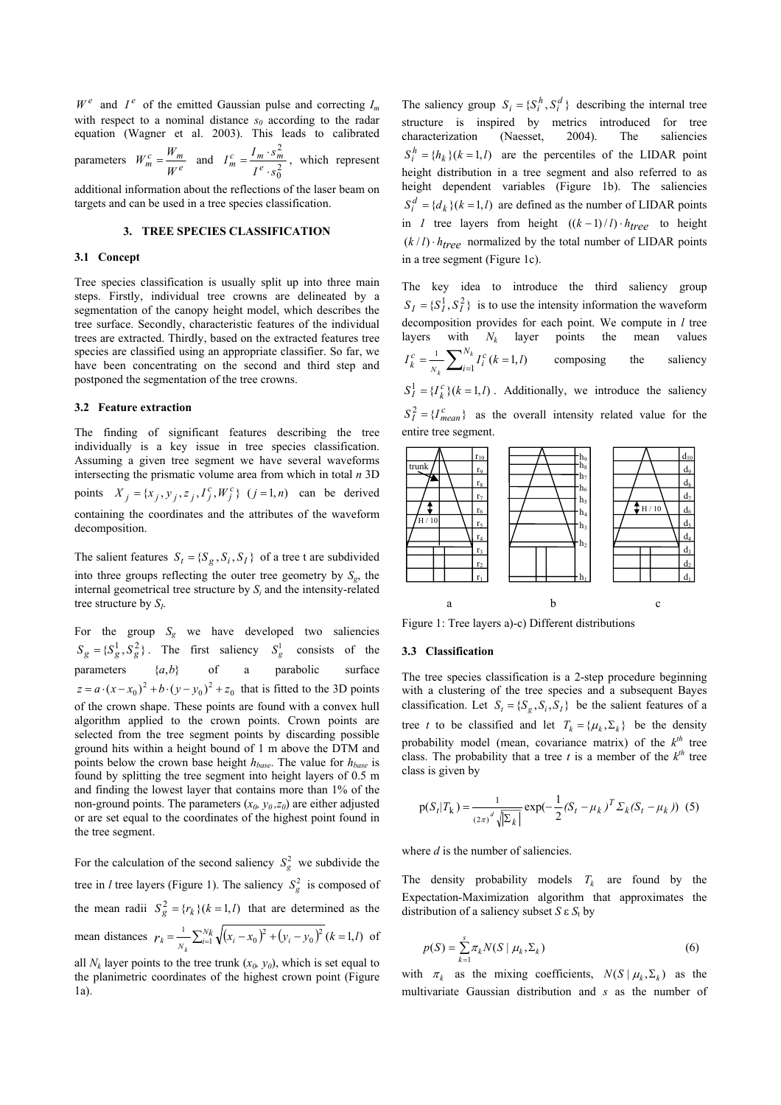$W^e$  and  $I^e$  of the emitted Gaussian pulse and correcting  $I_m$ with respect to a nominal distance  $s_0$  according to the radar equation (Wagner et al. 2003). This leads to calibrated

parameters 
$$
W_m^c = \frac{W_m}{W^e}
$$
 and  $I_m^c = \frac{I_m \cdot s_m^2}{I^e \cdot s_0^2}$ , which represent

additional information about the reflections of the laser beam on targets and can be used in a tree species classification.

# **3. TREE SPECIES CLASSIFICATION**

#### **3.1 Concept**

Tree species classification is usually split up into three main steps. Firstly, individual tree crowns are delineated by a segmentation of the canopy height model, which describes the tree surface. Secondly, characteristic features of the individual trees are extracted. Thirdly, based on the extracted features tree species are classified using an appropriate classifier. So far, we have been concentrating on the second and third step and postponed the segmentation of the tree crowns.

### **3.2 Feature extraction**

The finding of significant features describing the tree individually is a key issue in tree species classification. Assuming a given tree segment we have several waveforms intersecting the prismatic volume area from which in total *n* 3D points  $X_j = \{x_j, y_j, z_j, I_j^c, W_j^c\}$   $(j = 1, n)$  can be derived containing the coordinates and the attributes of the waveform decomposition.

The salient features  $S_t = \{S_g, S_i, S_I\}$  of a tree t are subdivided into three groups reflecting the outer tree geometry by  $S_{\varphi}$ , the internal geometrical tree structure by *Si* and the intensity-related tree structure by *SI*.

For the group  $S_g$  we have developed two saliencies  ${S_g} = {S_g^1, S_g^2}$ . The first saliency  $S_g^1$  consists of the parameters  $\{a,b\}$  of a parabolic surface  $z = a \cdot (x - x_0)^2 + b \cdot (y - y_0)^2 + z_0$  that is fitted to the 3D points of the crown shape. These points are found with a convex hull algorithm applied to the crown points. Crown points are selected from the tree segment points by discarding possible ground hits within a height bound of 1 m above the DTM and points below the crown base height *hbase*. The value for *hbase* is found by splitting the tree segment into height layers of 0.5 m and finding the lowest layer that contains more than 1% of the non-ground points. The parameters  $(x_0, y_0, z_0)$  are either adjusted or are set equal to the coordinates of the highest point found in the tree segment.

For the calculation of the second saliency  $S_g^2$  we subdivide the tree in *l* tree layers (Figure 1). The saliency  $S_g^2$  is composed of the mean radii  $S_g^2 = {r_k}(k = 1, l)$  that are determined as the mean distances  $r_k = \frac{1}{N_k} \sum_{i=1}^{N_k} \sqrt{(x_i - x_0)^2 + (y_i - y_0)^2 (k = 1, l)}$  of

The saliency group  $S_i = \{S_i^h, S_i^d\}$  describing the internal tree structure is inspired by metrics introduced for tree characterization (Naesset, 2004). The saliencies  $S_i^h = \{h_k\}(k = 1, l)$  are the percentiles of the LIDAR point height distribution in a tree segment and also referred to as height dependent variables (Figure 1b). The saliencies  $S_i^d = \{d_k\}(k=1, l)$  are defined as the number of LIDAR points in *1* tree layers from height  $((k-1)/l) \cdot h_{tree}$  to height  $(k/l) \cdot h_{tree}$  normalized by the total number of LIDAR points in a tree segment (Figure 1c).

The key idea to introduce the third saliency group  $S_I = \{S_I^1, S_I^2\}$  is to use the intensity information the waveform decomposition provides for each point. We compute in *l* tree layers with  $N_k$  layer points the mean values  $I_k^c = \frac{1}{N_k} \sum_{i=1}^{N_k} I_i^c (k = 1, l)$ *k N i*  $c_k = \frac{1}{N_k} \sum_{i=1}^{N_k} I_i^c (k=1, l)$  composing the saliency  ${S}_I^1 = {I}_k^c (k=1, l)$ . Additionally, we introduce the saliency  ${S_I}^2 = {I_{mean}}^c$  as the overall intensity related value for the entire tree segment.



Figure 1: Tree layers a)-c) Different distributions

## **3.3 Classification**

The tree species classification is a 2-step procedure beginning with a clustering of the tree species and a subsequent Bayes classification. Let  $S_t = \{S_s, S_i, S_j\}$  be the salient features of a tree *t* to be classified and let  $T_k = {\mu_k, \Sigma_k}$  be the density probability model (mean, covariance matrix) of the  $k^{th}$  tree class. The probability that a tree *t* is a member of the  $k^{th}$  tree class is given by

$$
p(S_t|T_k) = \frac{1}{(2\pi)^d \sqrt{|\Sigma_k|}} exp(-\frac{1}{2}(S_t - \mu_k)^T \Sigma_k (S_t - \mu_k))
$$
 (5)

where *d* is the number of saliencies.

The density probability models  $T_k$  are found by the Expectation-Maximization algorithm that approximates the distribution of a saliency subset  $S \varepsilon S_t$  by

$$
p(S) = \sum_{k=1}^{s} \pi_k N(S \mid \mu_k, \Sigma_k)
$$
\n<sup>(6)</sup>

with  $\pi_k$  as the mixing coefficients,  $N(S | \mu_k, \Sigma_k)$  as the multivariate Gaussian distribution and *s* as the number of

all  $N_k$  layer points to the tree trunk  $(x_0, y_0)$ , which is set equal to the planimetric coordinates of the highest crown point (Figure 1a).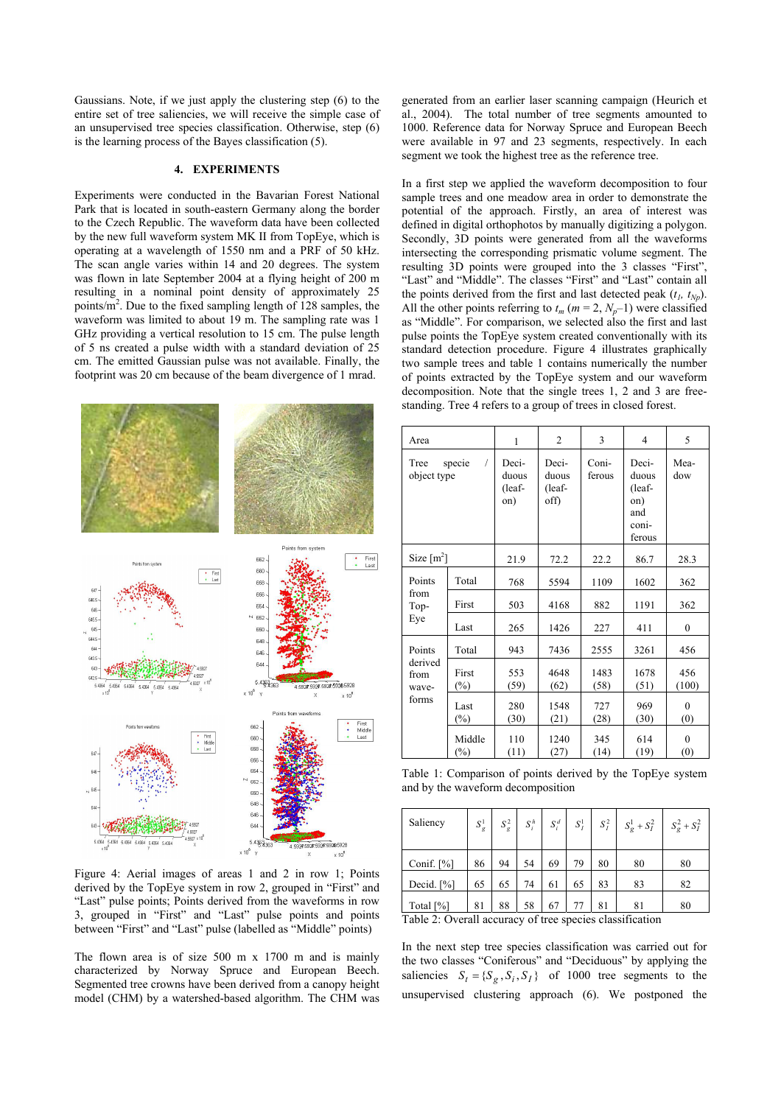Gaussians. Note, if we just apply the clustering step (6) to the entire set of tree saliencies, we will receive the simple case of an unsupervised tree species classification. Otherwise, step (6) is the learning process of the Bayes classification (5).

# **4. EXPERIMENTS**

Experiments were conducted in the Bavarian Forest National Park that is located in south-eastern Germany along the border to the Czech Republic. The waveform data have been collected by the new full waveform system MK II from TopEye, which is operating at a wavelength of 1550 nm and a PRF of 50 kHz. The scan angle varies within 14 and 20 degrees. The system was flown in late September 2004 at a flying height of 200 m resulting in a nominal point density of approximately 25 points/ $m^2$ . Due to the fixed sampling length of 128 samples, the waveform was limited to about 19 m. The sampling rate was 1 GHz providing a vertical resolution to 15 cm. The pulse length of 5 ns created a pulse width with a standard deviation of 25 cm. The emitted Gaussian pulse was not available. Finally, the footprint was 20 cm because of the beam divergence of 1 mrad.



Figure 4: Aerial images of areas 1 and 2 in row 1; Points derived by the TopEye system in row 2, grouped in "First" and "Last" pulse points; Points derived from the waveforms in row 3, grouped in "First" and "Last" pulse points and points between "First" and "Last" pulse (labelled as "Middle" points)

The flown area is of size 500 m x 1700 m and is mainly characterized by Norway Spruce and European Beech. Segmented tree crowns have been derived from a canopy height model (CHM) by a watershed-based algorithm. The CHM was generated from an earlier laser scanning campaign (Heurich et al., 2004). The total number of tree segments amounted to 1000. Reference data for Norway Spruce and European Beech were available in 97 and 23 segments, respectively. In each segment we took the highest tree as the reference tree.

In a first step we applied the waveform decomposition to four sample trees and one meadow area in order to demonstrate the potential of the approach. Firstly, an area of interest was defined in digital orthophotos by manually digitizing a polygon. Secondly, 3D points were generated from all the waveforms intersecting the corresponding prismatic volume segment. The resulting 3D points were grouped into the 3 classes "First", "Last" and "Middle". The classes "First" and "Last" contain all the points derived from the first and last detected peak  $(t_1, t_{Np})$ . All the other points referring to  $t_m$  ( $m = 2$ ,  $N_p$ –1) were classified as "Middle". For comparison, we selected also the first and last pulse points the TopEye system created conventionally with its standard detection procedure. Figure 4 illustrates graphically two sample trees and table 1 contains numerically the number of points extracted by the TopEye system and our waveform decomposition. Note that the single trees 1, 2 and 3 are freestanding. Tree 4 refers to a group of trees in closed forest.

| Area                                        |                  | 1                               | $\overline{c}$                   | 3               | 4                                                         | 5                   |
|---------------------------------------------|------------------|---------------------------------|----------------------------------|-----------------|-----------------------------------------------------------|---------------------|
| Tree<br>specie<br>$\sqrt{2}$<br>object type |                  | Deci-<br>duous<br>(leaf-<br>on) | Deci-<br>duous<br>(leaf-<br>off) | Coni-<br>ferous | Deci-<br>duous<br>(leaf-<br>on)<br>and<br>coni-<br>ferous | Mea-<br>dow         |
| Size $\lceil m^2 \rceil$                    |                  | 21.9                            | 72.2                             | 22.2            | 86.7                                                      | 28.3                |
| Points<br>from<br>Top-<br>Eye               | Total            | 768                             | 5594                             | 1109            | 1602                                                      | 362                 |
|                                             | First            | 503                             | 4168                             | 882             | 1191                                                      | 362                 |
|                                             | Last             | 265                             | 1426                             | 227             | 411                                                       | $\boldsymbol{0}$    |
| Points<br>derived<br>from<br>wave-<br>forms | Total            | 943                             | 7436                             | 2555            | 3261                                                      | 456                 |
|                                             | First<br>$(\%)$  | 553<br>(59)                     | 4648<br>(62)                     | 1483<br>(58)    | 1678<br>(51)                                              | 456<br>(100)        |
|                                             | Last<br>$(\%)$   | 280<br>(30)                     | 1548<br>(21)                     | 727<br>(28)     | 969<br>(30)                                               | $\mathbf{0}$<br>(0) |
|                                             | Middle<br>$(\%)$ | 110<br>(11)                     | 1240<br>(27)                     | 345<br>(14)     | 614<br>(19)                                               | $\mathbf{0}$<br>(0) |

Table 1: Comparison of points derived by the TopEye system and by the waveform decomposition

| Saliency      | $S_g^1$ | $S_g^2$ | $S_i^h$ | $S_i^d$ | $S_I^1$ |    | $S_I^2$ $S_g^1 + S_I^2$ $S_g^2 + S_I^2$ |    |
|---------------|---------|---------|---------|---------|---------|----|-----------------------------------------|----|
| Conif. $[\%]$ | 86      | 94      | 54      | 69      | 79      | 80 | 80                                      | 80 |
| Decid. $[%]$  | 65      | 65      | 74      | 61      | 65      | 83 | 83                                      | 82 |
| Total [%]     | 81      | 88      | 58      | 67      |         | 81 | 81                                      | 80 |

Table 2: Overall accuracy of tree species classification

In the next step tree species classification was carried out for the two classes "Coniferous" and "Deciduous" by applying the saliencies  $S_t = \{S_g, S_i, S_j\}$  of 1000 tree segments to the unsupervised clustering approach (6). We postponed the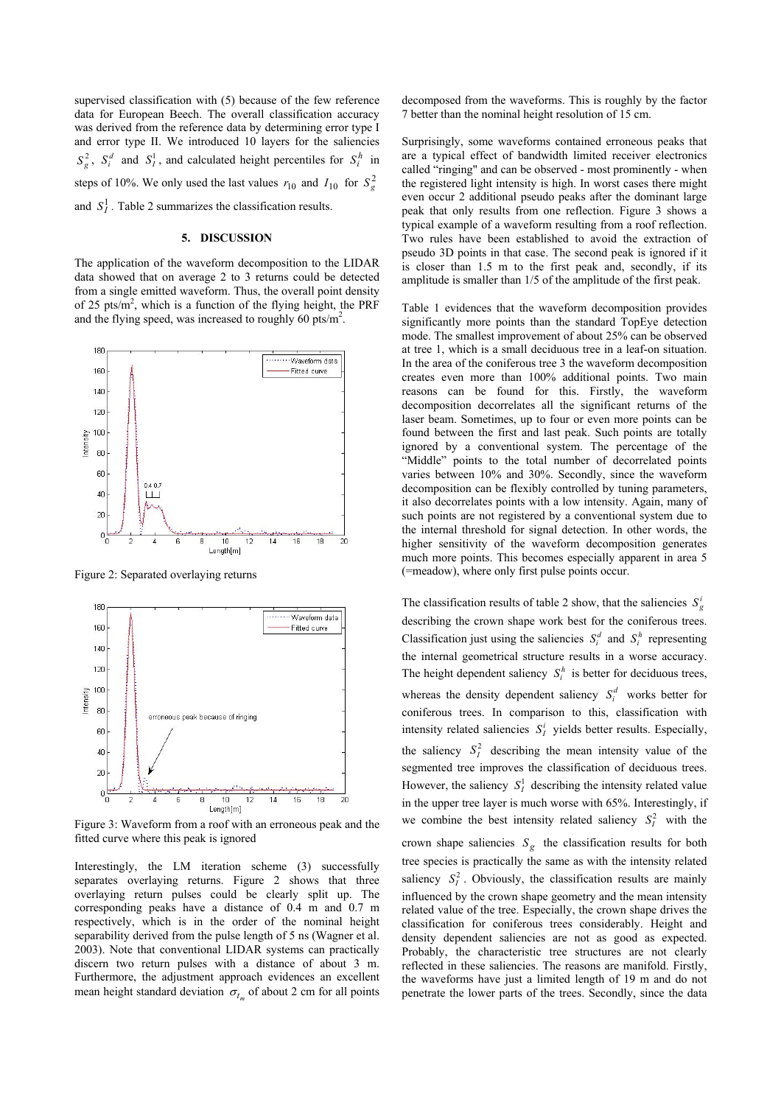supervised classification with (5) because of the few reference data for European Beech. The overall classification accuracy was derived from the reference data by determining error type I and error type II. We introduced 10 layers for the saliencies  $S_g^2$ ,  $S_i^d$  and  $S_i^1$ , and calculated height percentiles for  $S_i^h$  in steps of 10%. We only used the last values  $r_{10}$  and  $I_{10}$  for  $S_g^2$ and  $S_I^1$ . Table 2 summarizes the classification results.

#### **5. DISCUSSION**

The application of the waveform decomposition to the LIDAR data showed that on average 2 to 3 returns could be detected from a single emitted waveform. Thus, the overall point density of 25 pts/ $m^2$ , which is a function of the flying height, the PRF and the flying speed, was increased to roughly 60 pts/ $m^2$ .



Figure 2: Separated overlaying returns



Figure 3: Waveform from a roof with an erroneous peak and the fitted curve where this peak is ignored

Interestingly, the LM iteration scheme (3) successfully separates overlaying returns. Figure 2 shows that three overlaying return pulses could be clearly split up. The corresponding peaks have a distance of 0.4 m and 0.7 m respectively, which is in the order of the nominal height separability derived from the pulse length of 5 ns (Wagner et al. 2003). Note that conventional LIDAR systems can practically discern two return pulses with a distance of about 3 m. Furthermore, the adjustment approach evidences an excellent mean height standard deviation  $\sigma_{t_m}$  of about 2 cm for all points decomposed from the waveforms. This is roughly by the factor 7 better than the nominal height resolution of 15 cm.

Surprisingly, some waveforms contained erroneous peaks that are a typical effect of bandwidth limited receiver electronics called "ringing" and can be observed - most prominently - when the registered light intensity is high. In worst cases there might even occur 2 additional pseudo peaks after the dominant large peak that only results from one reflection. Figure 3 shows a typical example of a waveform resulting from a roof reflection. Two rules have been established to avoid the extraction of pseudo 3D points in that case. The second peak is ignored if it is closer than 1.5 m to the first peak and, secondly, if its amplitude is smaller than 1/5 of the amplitude of the first peak.

Table 1 evidences that the waveform decomposition provides significantly more points than the standard TopEye detection mode. The smallest improvement of about 25% can be observed at tree 1, which is a small deciduous tree in a leaf-on situation. In the area of the coniferous tree 3 the waveform decomposition creates even more than 100% additional points. Two main reasons can be found for this. Firstly, the waveform decomposition decorrelates all the significant returns of the laser beam. Sometimes, up to four or even more points can be found between the first and last peak. Such points are totally ignored by a conventional system. The percentage of the "Middle" points to the total number of decorrelated points varies between 10% and 30%. Secondly, since the waveform decomposition can be flexibly controlled by tuning parameters, it also decorrelates points with a low intensity. Again, many of such points are not registered by a conventional system due to the internal threshold for signal detection. In other words, the higher sensitivity of the waveform decomposition generates much more points. This becomes especially apparent in area 5 (=meadow), where only first pulse points occur.

The classification results of table 2 show, that the saliencies  $S^i_{\sigma}$ describing the crown shape work best for the coniferous trees. Classification just using the saliencies  $S_i^d$  and  $S_i^h$  representing the internal geometrical structure results in a worse accuracy. The height dependent saliency  $S_i^h$  is better for deciduous trees, whereas the density dependent saliency  $S_i^d$  works better for coniferous trees. In comparison to this, classification with intensity related saliencies  $S_I^i$  yields better results. Especially, the saliency  $S_I^2$  describing the mean intensity value of the segmented tree improves the classification of deciduous trees. However, the saliency  $S<sub>i</sub><sup>1</sup>$  describing the intensity related value in the upper tree layer is much worse with 65%. Interestingly, if we combine the best intensity related saliency  $S_I^2$  with the crown shape saliencies  $S_g$  the classification results for both tree species is practically the same as with the intensity related saliency  $S_I^2$ . Obviously, the classification results are mainly influenced by the crown shape geometry and the mean intensity related value of the tree. Especially, the crown shape drives the classification for coniferous trees considerably. Height and density dependent saliencies are not as good as expected. Probably, the characteristic tree structures are not clearly reflected in these saliencies. The reasons are manifold. Firstly, the waveforms have just a limited length of 19 m and do not penetrate the lower parts of the trees. Secondly, since the data